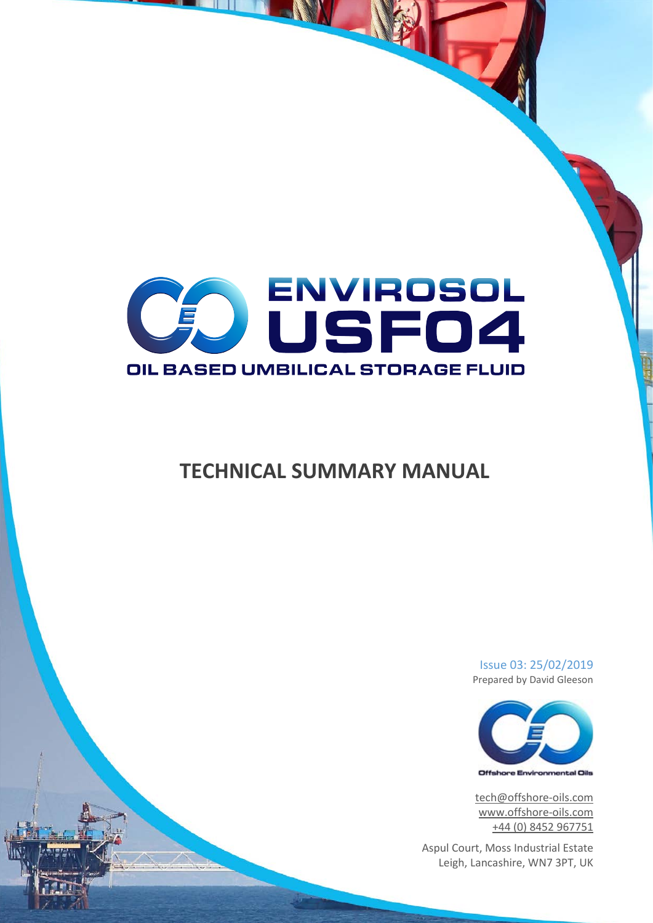

# **TECHNICAL SUMMARY MANUAL**

Issue 03: 25/02/2019 Prepared by David Gleeson



[tech@offshore-oils.com](mailto:tech@offshore-oils.com) [www.offshore-oils.com](http://www.offshore-oils.com/) +44 (0) 8452 967751

Aspul Court, Moss Industrial Estate Leigh, Lancashire, WN7 3PT, UK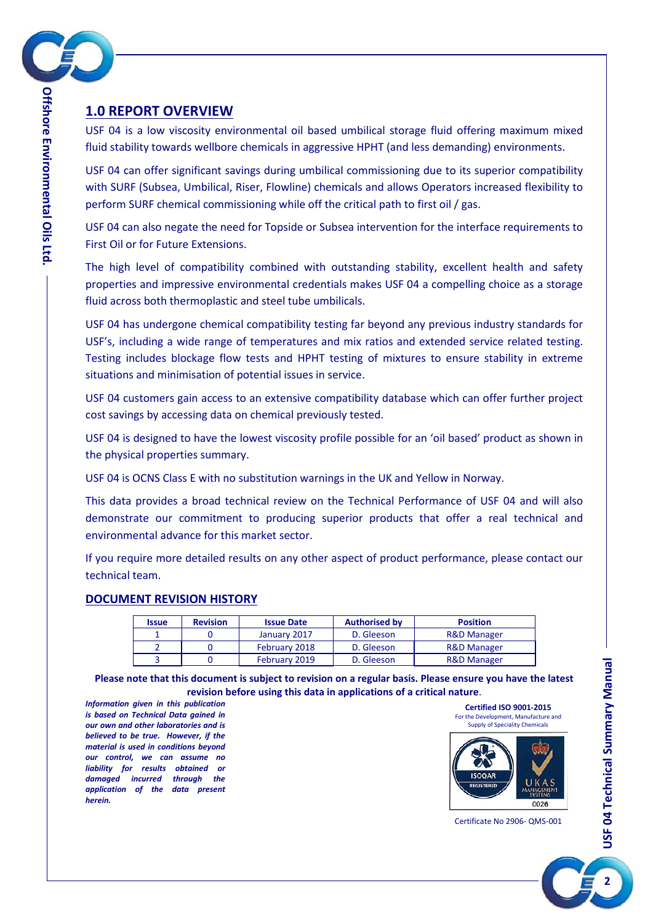

# <span id="page-1-0"></span>**1.0 REPORT OVERVIEW**

USF 04 is a low viscosity environmental oil based umbilical storage fluid offering maximum mixed fluid stability towards wellbore chemicals in aggressive HPHT (and less demanding) environments.

USF 04 can offer significant savings during umbilical commissioning due to its superior compatibility with SURF (Subsea, Umbilical, Riser, Flowline) chemicals and allows Operators increased flexibility to perform SURF chemical commissioning while off the critical path to first oil / gas.

USF 04 can also negate the need for Topside or Subsea intervention for the interface requirements to First Oil or for Future Extensions.

The high level of compatibility combined with outstanding stability, excellent health and safety properties and impressive environmental credentials makes USF 04 a compelling choice as a storage fluid across both thermoplastic and steel tube umbilicals.

USF 04 has undergone chemical compatibility testing far beyond any previous industry standards for USF's, including a wide range of temperatures and mix ratios and extended service related testing. Testing includes blockage flow tests and HPHT testing of mixtures to ensure stability in extreme situations and minimisation of potential issues in service.

USF 04 customers gain access to an extensive compatibility database which can offer further project cost savings by accessing data on chemical previously tested.

USF 04 is designed to have the lowest viscosity profile possible for an 'oil based' product as shown in the physical properties summary.

USF 04 is OCNS Class E with no substitution warnings in the UK and Yellow in Norway.

This data provides a broad technical review on the Technical Performance of USF 04 and will also demonstrate our commitment to producing superior products that offer a real technical and environmental advance for this market sector.

If you require more detailed results on any other aspect of product performance, please contact our technical team.

#### <span id="page-1-1"></span>**DOCUMENT REVISION HISTORY**

| <b>Issue</b> | <b>Revision</b> | <b>Issue Date</b> | <b>Authorised by</b> | <b>Position</b>        |
|--------------|-----------------|-------------------|----------------------|------------------------|
|              |                 | January 2017      | D. Gleeson           | <b>R&amp;D Manager</b> |
|              |                 | February 2018     | D. Gleeson           | <b>R&amp;D Manager</b> |
|              |                 | February 2019     | D. Gleeson           | <b>R&amp;D Manager</b> |

**Please note that this document is subject to revision on a regular basis. Please ensure you have the latest revision before using this data in applications of a critical nature**.

*Information given in this publication is based on Technical Data gained in our own and other laboratories and is believed to be true. However, if the material is used in conditions beyond our control, we can assume no liability for results obtained or damaged incurred through the application of the data present herein.*



Certificate No 2906- QMS-001

**2**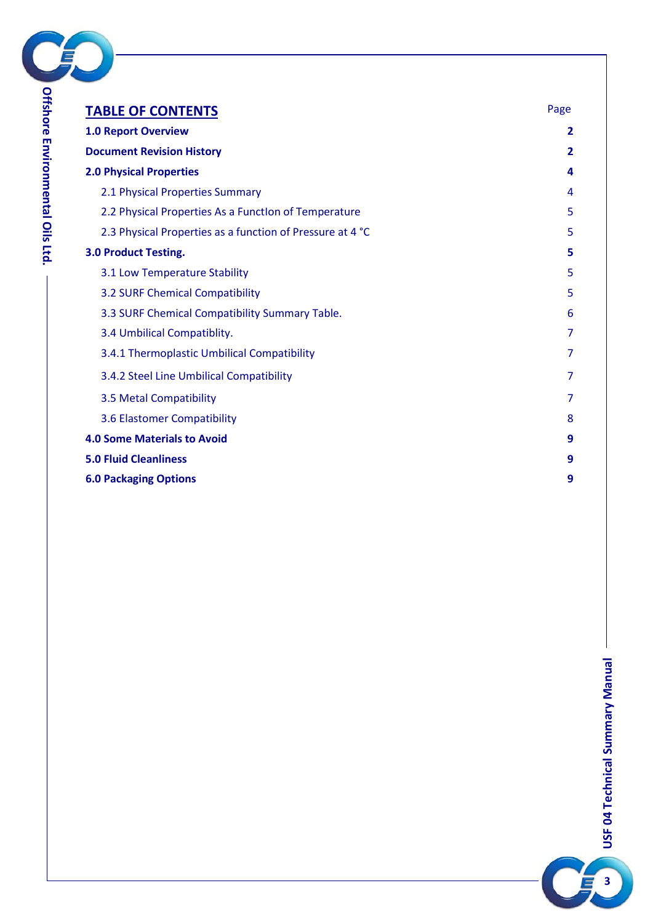

**Ltd.**

| <b>TABLE OF CONTENTS</b>                                  | Page                    |
|-----------------------------------------------------------|-------------------------|
| <b>1.0 Report Overview</b>                                | 2                       |
| <b>Document Revision History</b>                          | $\overline{\mathbf{2}}$ |
| <b>2.0 Physical Properties</b>                            | 4                       |
| 2.1 Physical Properties Summary                           | 4                       |
| 2.2 Physical Properties As a Function of Temperature      | 5                       |
| 2.3 Physical Properties as a function of Pressure at 4 °C | 5                       |
| <b>3.0 Product Testing.</b>                               | 5                       |
| 3.1 Low Temperature Stability                             | 5                       |
| 3.2 SURF Chemical Compatibility                           | 5                       |
| 3.3 SURF Chemical Compatibility Summary Table.            | 6                       |
| 3.4 Umbilical Compatiblity.                               | 7                       |
| 3.4.1 Thermoplastic Umbilical Compatibility               | 7                       |
| 3.4.2 Steel Line Umbilical Compatibility                  | 7                       |
| 3.5 Metal Compatibility                                   | 7                       |
| 3.6 Elastomer Compatibility                               | 8                       |
| <b>4.0 Some Materials to Avoid</b>                        | 9                       |
| <b>5.0 Fluid Cleanliness</b>                              | 9                       |
| <b>6.0 Packaging Options</b>                              | 9                       |

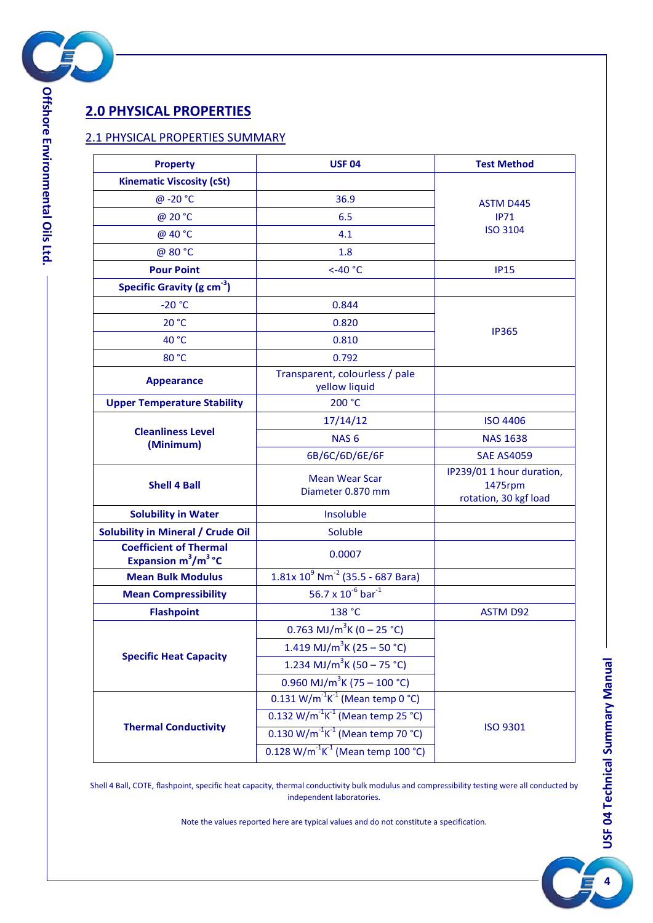

# <span id="page-3-0"></span>**2.0 PHYSICAL PROPERTIES**

#### <span id="page-3-1"></span>2.1 PHYSICAL PROPERTIES SUMMARY

| <b>Property</b>                                         | <b>USF 04</b>                                              | <b>Test Method</b>                                            |  |
|---------------------------------------------------------|------------------------------------------------------------|---------------------------------------------------------------|--|
| <b>Kinematic Viscosity (cSt)</b>                        |                                                            |                                                               |  |
| @ -20 °C                                                | 36.9                                                       | <b>ASTM D445</b>                                              |  |
| @ 20 °C                                                 | 6.5                                                        | IP71                                                          |  |
| @ 40 °C                                                 | 4.1                                                        | <b>ISO 3104</b>                                               |  |
| @ 80 °C                                                 | 1.8                                                        |                                                               |  |
| <b>Pour Point</b>                                       | $<$ -40 $^{\circ}$ C                                       | <b>IP15</b>                                                   |  |
| Specific Gravity (g cm <sup>-3</sup> )                  |                                                            |                                                               |  |
| $-20 °C$                                                | 0.844                                                      |                                                               |  |
| 20 °C                                                   | 0.820                                                      |                                                               |  |
| 40 °C                                                   | 0.810                                                      | <b>IP365</b>                                                  |  |
| 80 °C                                                   | 0.792                                                      |                                                               |  |
| <b>Appearance</b>                                       | Transparent, colourless / pale<br>yellow liquid            |                                                               |  |
| <b>Upper Temperature Stability</b>                      | 200 °C                                                     |                                                               |  |
|                                                         | 17/14/12                                                   | <b>ISO 4406</b>                                               |  |
| <b>Cleanliness Level</b><br>(Minimum)                   | NAS <sub>6</sub>                                           | <b>NAS 1638</b>                                               |  |
|                                                         | 6B/6C/6D/6E/6F                                             | <b>SAE AS4059</b>                                             |  |
| <b>Shell 4 Ball</b>                                     | <b>Mean Wear Scar</b><br>Diameter 0.870 mm                 | IP239/01 1 hour duration,<br>1475rpm<br>rotation, 30 kgf load |  |
| <b>Solubility in Water</b>                              | Insoluble                                                  |                                                               |  |
| <b>Solubility in Mineral / Crude Oil</b>                | Soluble                                                    |                                                               |  |
| <b>Coefficient of Thermal</b><br>Expansion $m^3/m^3$ °C | 0.0007                                                     |                                                               |  |
| <b>Mean Bulk Modulus</b>                                | $1.81x 109 Nm-2 (35.5 - 687 Bara)$                         |                                                               |  |
| <b>Mean Compressibility</b>                             | 56.7 x $10^{-6}$ bar <sup>-1</sup>                         |                                                               |  |
| <b>Flashpoint</b>                                       | 138 °C                                                     | <b>ASTM D92</b>                                               |  |
|                                                         | 0.763 MJ/m <sup>3</sup> K (0 – 25 °C)                      |                                                               |  |
|                                                         | 1.419 MJ/m <sup>3</sup> K (25 – 50 °C)                     |                                                               |  |
| <b>Specific Heat Capacity</b>                           | 1.234 MJ/m <sup>3</sup> K (50 – 75 °C)                     |                                                               |  |
|                                                         | 0.960 MJ/m <sup>3</sup> K (75 – 100 °C)                    |                                                               |  |
|                                                         | $0.131$ W/m <sup>-1</sup> K <sup>-1</sup> (Mean temp 0 °C) |                                                               |  |
|                                                         | 0.132 W/m <sup>-1</sup> K <sup>-1</sup> (Mean temp 25 °C)  |                                                               |  |
| <b>Thermal Conductivity</b>                             | $0.130 \text{ W/m}^{-1} \text{K}^{-1}$ (Mean temp 70 °C)   | <b>ISO 9301</b>                                               |  |
|                                                         | 0.128 W/m <sup>-1</sup> K <sup>-1</sup> (Mean temp 100 °C) |                                                               |  |

<span id="page-3-2"></span>Shell 4 Ball, COTE, flashpoint, specific heat capacity, thermal conductivity bulk modulus and compressibility testing were all conducted by independent laboratories.

Note the values reported here are typical values and do not constitute a specification.

**4**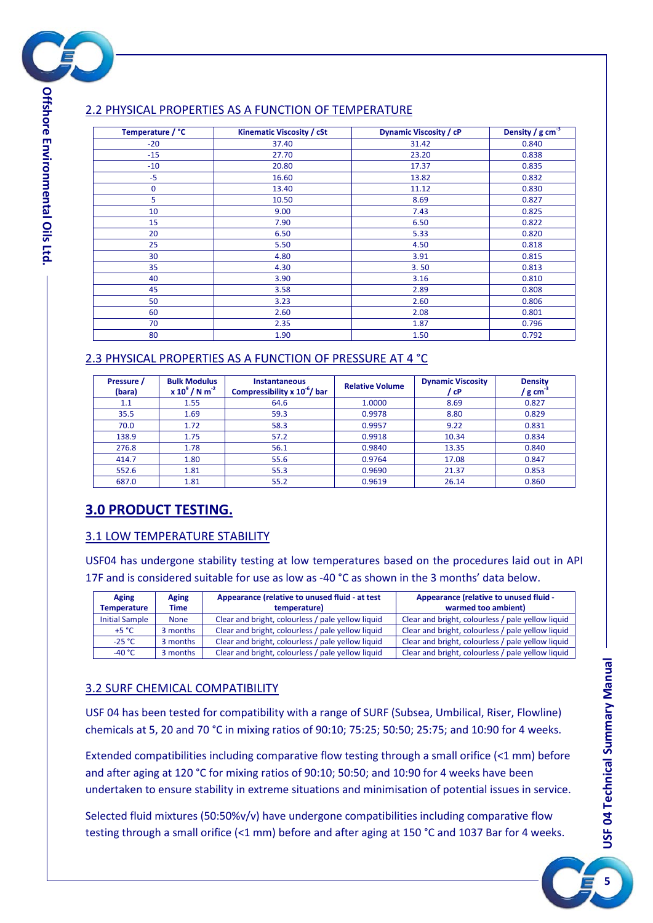

## 2.2 PHYSICAL PROPERTIES AS A FUNCTION OF TEMPERATURE

| Temperature / °C | Kinematic Viscosity / cSt | <b>Dynamic Viscosity / cP</b> | Density / $g \text{ cm}^{-3}$ |
|------------------|---------------------------|-------------------------------|-------------------------------|
| $-20$            | 37.40                     | 31.42                         | 0.840                         |
| $-15$            | 27.70                     | 23.20                         | 0.838                         |
| $-10$            | 20.80                     | 17.37                         | 0.835                         |
| $-5$             | 16.60                     | 13.82                         | 0.832                         |
| $\mathbf 0$      | 13.40                     | 11.12                         | 0.830                         |
| 5                | 10.50                     | 8.69                          | 0.827                         |
| 10               | 9.00                      | 7.43                          | 0.825                         |
| 15               | 7.90                      | 6.50                          | 0.822                         |
| 20               | 6.50                      | 5.33                          | 0.820                         |
| 25               | 5.50                      | 4.50                          | 0.818                         |
| 30               | 4.80                      | 3.91                          | 0.815                         |
| 35               | 4.30                      | 3.50                          | 0.813                         |
| 40               | 3.90                      | 3.16                          | 0.810                         |
| 45               | 3.58                      | 2.89                          | 0.808                         |
| 50               | 3.23                      | 2.60                          | 0.806                         |
| 60               | 2.60                      | 2.08                          | 0.801                         |
| 70               | 2.35                      | 1.87                          | 0.796                         |
| 80               | 1.90                      | 1.50                          | 0.792                         |

#### <span id="page-4-0"></span>2.3 PHYSICAL PROPERTIES AS A FUNCTION OF PRESSURE AT 4 °C

| Pressure /<br>(bara) | <b>Bulk Modulus</b><br>$x 10^9 / N m^{-2}$ | <b>Instantaneous</b><br>Compressibility $x 10^{-6}$ bar | <b>Relative Volume</b> | <b>Dynamic Viscosity</b><br>' cP | <b>Density</b><br>/ ${\sf g}$ cm $^3$ |
|----------------------|--------------------------------------------|---------------------------------------------------------|------------------------|----------------------------------|---------------------------------------|
| 1.1                  | 1.55                                       | 64.6                                                    | 1.0000                 | 8.69                             | 0.827                                 |
| 35.5                 | 1.69                                       | 59.3                                                    | 0.9978                 | 8.80                             | 0.829                                 |
| 70.0                 | 1.72                                       | 58.3                                                    | 0.9957                 | 9.22                             | 0.831                                 |
| 138.9                | 1.75                                       | 57.2                                                    | 0.9918                 | 10.34                            | 0.834                                 |
| 276.8                | 1.78                                       | 56.1                                                    | 0.9840                 | 13.35                            | 0.840                                 |
| 414.7                | 1.80                                       | 55.6                                                    | 0.9764                 | 17.08                            | 0.847                                 |
| 552.6                | 1.81                                       | 55.3                                                    | 0.9690                 | 21.37                            | 0.853                                 |
| 687.0                | 1.81                                       | 55.2                                                    | 0.9619                 | 26.14                            | 0.860                                 |

# <span id="page-4-1"></span>**3.0 PRODUCT TESTING.**

#### <span id="page-4-2"></span>3.1 LOW TEMPERATURE STABILITY

USF04 has undergone stability testing at low temperatures based on the procedures laid out in API 17F and is considered suitable for use as low as -40 °C as shown in the 3 months' data below.

| Aging                 | Aging       | Appearance (relative to unused fluid - at test    | Appearance (relative to unused fluid -            |
|-----------------------|-------------|---------------------------------------------------|---------------------------------------------------|
| <b>Temperature</b>    | <b>Time</b> | temperature)                                      | warmed too ambient)                               |
| <b>Initial Sample</b> | <b>None</b> | Clear and bright, colourless / pale yellow liquid | Clear and bright, colourless / pale yellow liquid |
| $+5 °C$               | 3 months    | Clear and bright, colourless / pale yellow liquid | Clear and bright, colourless / pale yellow liquid |
| $-25 °C$              | 3 months    | Clear and bright, colourless / pale yellow liquid | Clear and bright, colourless / pale yellow liquid |
| $-40 °C$              | 3 months    | Clear and bright, colourless / pale yellow liquid | Clear and bright, colourless / pale yellow liquid |

#### <span id="page-4-3"></span>3.2 SURF CHEMICAL COMPATIBILITY

USF 04 has been tested for compatibility with a range of SURF (Subsea, Umbilical, Riser, Flowline) chemicals at 5, 20 and 70 °C in mixing ratios of 90:10; 75:25; 50:50; 25:75; and 10:90 for 4 weeks.

Extended compatibilities including comparative flow testing through a small orifice (<1 mm) before and after aging at 120 °C for mixing ratios of 90:10; 50:50; and 10:90 for 4 weeks have been undertaken to ensure stability in extreme situations and minimisation of potential issues in service.

Selected fluid mixtures (50:50%v/v) have undergone compatibilities including comparative flow testing through a small orifice (<1 mm) before and after aging at 150 °C and 1037 Bar for 4 weeks.

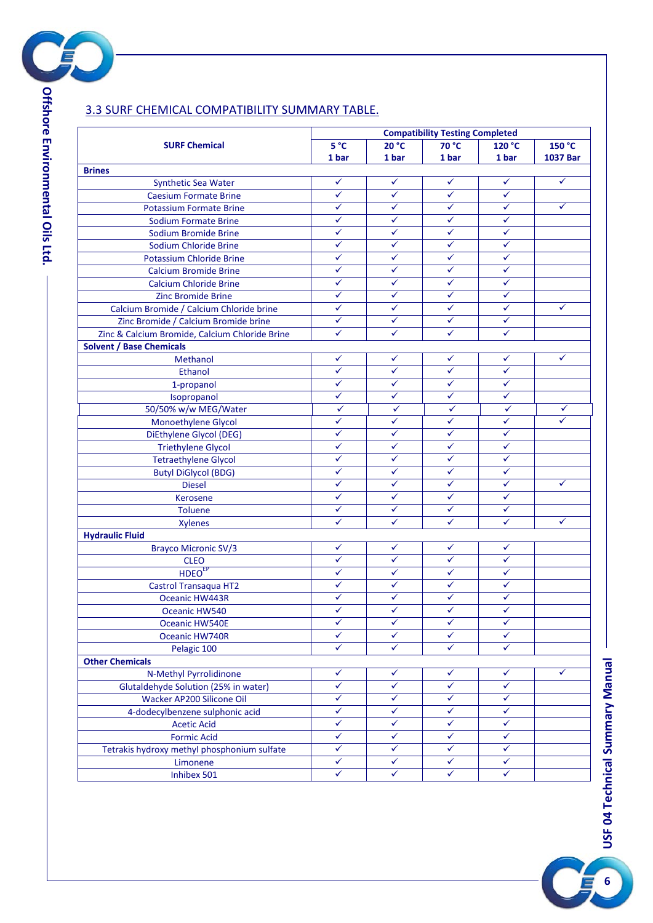

#### **SURF Chemical Compatibility Testing Completed 5 °C 1 bar 20 °C 1 bar 70 °C 1 bar 120 °C 1 bar 150 °C 1037 Bar Brines** Synthetic Sea Water **Synthetic Sea Water**  $\checkmark$   $\checkmark$   $\checkmark$   $\checkmark$   $\checkmark$   $\checkmark$   $\checkmark$ Caesium Formate Brine <u>→ Caesium Formate Brine</u> Potassium Formate Brine **Andrew Contract Contract Contract Contract Contract Contract Contract Contract Contract Contract Contract Contract Contract Contract Contract Contract Contract Contract Contract Contract Contract C** Sodium Formate Brine **and all set of the set of the set of the set of the set of the set of the set of the set o** Sodium Bromide Brine **Solid Report Following Solid Report Following Solid Report Following Solid Report Following Solid Report Following Solid Report Following Solid Report Following Solid Report Following Solid Report Fol** Sodium Chloride Brine **Value of Article Contact Contact Article Contact Contact Contact Contact Contact Contact Contact Contact Contact Contact Contact Contact Contact Contact Contact Contact Contact Contact Contact Contac** Potassium Chloride Brine **Provide Brine** and American Chloride Brine and American Chloride Brine and American Ch Calcium Bromide Brine **Calcium Bromide Brine** Calcium Chloride Brine<br>
Ting Promide Brine<br>
Ting Promide Brine Zinc Bromide Brine Calcium Bromide / Calcium Chloride brine <del>V</del> √ V Zinc Bromide / Calcium Bromide brine Zinc & Calcium Bromide, Calcium Chloride Brine **Solvent / Base Chemicals** Methanol Ethanol (√ | √ | √ | √ 1-propanol  $\checkmark$   $\checkmark$   $\checkmark$   $\checkmark$   $\checkmark$ Isopropanol 50/50% w/w MEG/Water Monoethylene Glycol and a series of the series of the series of the series of the series of the series of the series of the series of the series of the series of the series of the series of the series of the series of the DiEthylene Glycol (DEG)  $\checkmark$   $\checkmark$   $\checkmark$   $\checkmark$ Triethylene Glycol and the state of the Clinical Contractivities of the Clinical Contractivities of the Clinical Contractivities of the Clinical Contractivities of the Clinical Contractivities of the Clinical Contractiviti Tetraethylene Glycol Butyl DiGlycol (BDG) Diesel Kerosene Toluene Xylenes **Hydraulic Fluid** Brayco Micronic SV/3 CLEO  $HDEO<sup>EP</sup>$  and  $V$  and  $V$  and  $V$  and  $V$  and  $V$ Castrol Transaqua HT2 Oceanic HW443R Oceanic HW540 V V V V V Oceanic HW540E Oceanic HW740R Pelagic 100  $\checkmark$   $\checkmark$   $\checkmark$   $\checkmark$   $\checkmark$ **Other Chemicals** N-Methyl Pyrrolidinone Glutaldehyde Solution (25% in water)  $\begin{array}{c|c}\n\downarrow & \downarrow \\
\downarrow & \downarrow\n\end{array}$ Wacker AP200 Silicone Oil 4-dodecylbenzene sulphonic acid<br>Acetic Acid Acetic Acid Acetic Acid<br>
Formic Acid<br>
Formic Acid Formic Acid  $\begin{array}{c|c|c|c|c|c|c|c|c} \hline \text{Formic } \text{Acid} & \checkmark & \checkmark & \checkmark & \checkmark \\ \hline \text{method} & \text{phosphonium sulfate} & \checkmark & \checkmark & \checkmark & \checkmark \\ \hline \end{array}$ Tetrakis hydroxy methyl phosphonium sulfate<br>
Imonene  $\frac{1}{\sqrt{1-\frac{1}{2}}}\sqrt{1-\frac{1}{2}}$ Inhibex 501

### <span id="page-5-0"></span>3.3 SURF CHEMICAL COMPATIBILITY SUMMARY TABLE.

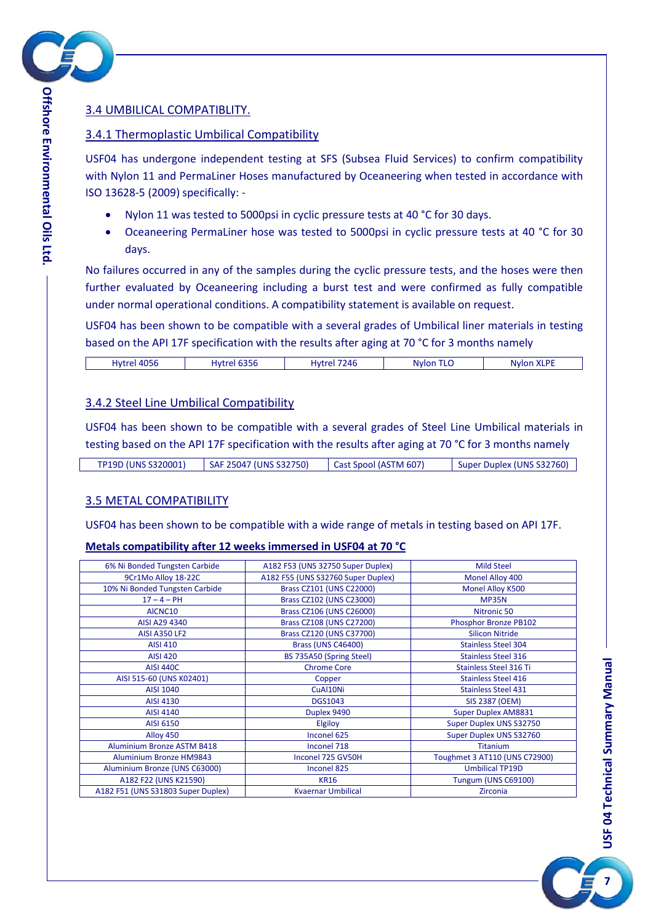

### <span id="page-6-0"></span>3.4 UMBILICAL COMPATIBLITY.

#### <span id="page-6-1"></span>3.4.1 Thermoplastic Umbilical Compatibility

USF04 has undergone independent testing at SFS (Subsea Fluid Services) to confirm compatibility with Nylon 11 and PermaLiner Hoses manufactured by Oceaneering when tested in accordance with ISO 13628-5 (2009) specifically: -

- Nylon 11 was tested to 5000psi in cyclic pressure tests at 40 °C for 30 days.
- Oceaneering PermaLiner hose was tested to 5000psi in cyclic pressure tests at 40 °C for 30 days.

No failures occurred in any of the samples during the cyclic pressure tests, and the hoses were then further evaluated by Oceaneering including a burst test and were confirmed as fully compatible under normal operational conditions. A compatibility statement is available on request.

USF04 has been shown to be compatible with a several grades of Umbilical liner materials in testing based on the API 17F specification with the results after aging at 70 °C for 3 months namely

#### <span id="page-6-2"></span>3.4.2 Steel Line Umbilical Compatibility

USF04 has been shown to be compatible with a several grades of Steel Line Umbilical materials in testing based on the API 17F specification with the results after aging at 70 °C for 3 months namely

#### <span id="page-6-3"></span>3.5 METAL COMPATIBILITY

USF04 has been shown to be compatible with a wide range of metals in testing based on API 17F.

#### **Metals compatibility after 12 weeks immersed in USF04 at 70 °C**

| 6% Ni Bonded Tungsten Carbide      | A182 F53 (UNS 32750 Super Duplex)  | <b>Mild Steel</b>             |
|------------------------------------|------------------------------------|-------------------------------|
| 9Cr1Mo Alloy 18-22C                | A182 F55 (UNS S32760 Super Duplex) | Monel Alloy 400               |
| 10% Ni Bonded Tungsten Carbide     | Brass CZ101 (UNS C22000)           | <b>Monel Alloy K500</b>       |
| $17 - 4 - PH$                      | Brass CZ102 (UNS C23000)           | <b>MP35N</b>                  |
| AICNC10                            | Brass CZ106 (UNS C26000)           | Nitronic 50                   |
| AISI A29 4340                      | Brass CZ108 (UNS C27200)           | Phosphor Bronze PB102         |
| <b>AISI A350 LF2</b>               | Brass CZ120 (UNS C37700)           | <b>Silicon Nitride</b>        |
| <b>AISI 410</b>                    | <b>Brass (UNS C46400)</b>          | <b>Stainless Steel 304</b>    |
| <b>AISI 420</b>                    | BS 735A50 (Spring Steel)           | <b>Stainless Steel 316</b>    |
| <b>AISI 440C</b>                   | <b>Chrome Core</b>                 | <b>Stainless Steel 316 Ti</b> |
| AISI 515-60 (UNS K02401)           | Copper                             | <b>Stainless Steel 416</b>    |
| AISI 1040                          | CuAl10Ni                           | <b>Stainless Steel 431</b>    |
| AISI 4130                          | <b>DGS1043</b>                     | <b>SIS 2387 (OEM)</b>         |
| AISI 4140                          | Duplex 9490                        | <b>Super Duplex AM8831</b>    |
| AISI 6150                          | Elgiloy                            | Super Duplex UNS S32750       |
| Alloy 450                          | Inconel 625                        | Super Duplex UNS S32760       |
| <b>Aluminium Bronze ASTM B418</b>  | Inconel 718                        | <b>Titanium</b>               |
| <b>Aluminium Bronze HM9843</b>     | Inconel 725 GV50H                  | Toughmet 3 AT110 (UNS C72900) |
| Aluminium Bronze (UNS C63000)      | Inconel 825                        | <b>Umbilical TP19D</b>        |
| A182 F22 (UNS K21590)              | <b>KR16</b>                        | Tungum (UNS C69100)           |
| A182 F51 (UNS S31803 Super Duplex) | <b>Kvaernar Umbilical</b>          | Zirconia                      |

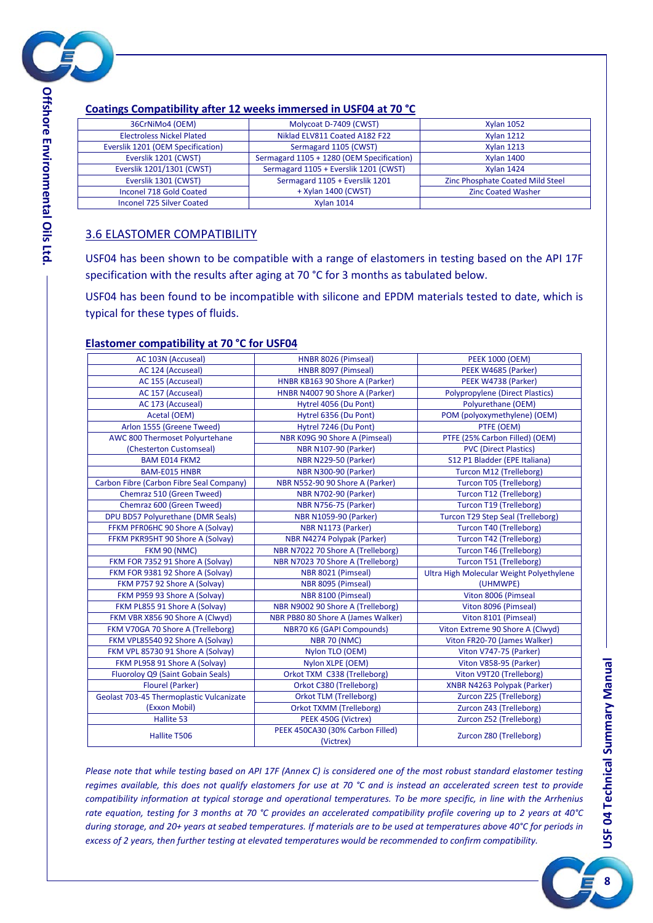

| 36CrNiMo4 (OEM)                   | Molycoat D-7409 (CWST)                    | <b>Xylan 1052</b>                |
|-----------------------------------|-------------------------------------------|----------------------------------|
| <b>Electroless Nickel Plated</b>  | Niklad ELV811 Coated A182 F22             | <b>Xvlan 1212</b>                |
| Everslik 1201 (OEM Specification) | Sermagard 1105 (CWST)                     | <b>Xylan 1213</b>                |
| Everslik 1201 (CWST)              | Sermagard 1105 + 1280 (OEM Specification) | <b>Xylan 1400</b>                |
| Everslik 1201/1301 (CWST)         | Sermagard 1105 + Everslik 1201 (CWST)     | <b>Xylan 1424</b>                |
| Everslik 1301 (CWST)              | Sermagard 1105 + Everslik 1201            | Zinc Phosphate Coated Mild Steel |
| Inconel 718 Gold Coated           | + Xylan 1400 (CWST)                       | <b>Zinc Coated Washer</b>        |
| Inconel 725 Silver Coated         | <b>Xvlan 1014</b>                         |                                  |

#### <span id="page-7-0"></span>3.6 ELASTOMER COMPATIBILITY

USF04 has been shown to be compatible with a range of elastomers in testing based on the API 17F specification with the results after aging at 70 °C for 3 months as tabulated below.

USF04 has been found to be incompatible with silicone and EPDM materials tested to date, which is typical for these types of fluids.

#### **Elastomer compatibility at 70 °C for USF04**

| AC 103N (Accuseal)                       | HNBR 8026 (Pimseal)                           | <b>PEEK 1000 (OEM)</b>                   |
|------------------------------------------|-----------------------------------------------|------------------------------------------|
| AC 124 (Accuseal)                        | HNBR 8097 (Pimseal)                           | PEEK W4685 (Parker)                      |
| AC 155 (Accuseal)                        | HNBR KB163 90 Shore A (Parker)                | PEEK W4738 (Parker)                      |
| AC 157 (Accuseal)                        | HNBR N4007 90 Shore A (Parker)                | <b>Polypropylene (Direct Plastics)</b>   |
| AC 173 (Accuseal)                        | Hytrel 4056 (Du Pont)                         | Polyurethane (OEM)                       |
| Acetal (OEM)                             | Hytrel 6356 (Du Pont)                         | POM (polyoxymethylene) (OEM)             |
| Arlon 1555 (Greene Tweed)                | Hytrel 7246 (Du Pont)                         | PTFE (OEM)                               |
| AWC 800 Thermoset Polyurtehane           | NBR K09G 90 Shore A (Pimseal)                 | PTFE (25% Carbon Filled) (OEM)           |
| (Chesterton Customseal)                  | <b>NBR N107-90 (Parker)</b>                   | <b>PVC (Direct Plastics)</b>             |
| <b>BAM E014 FKM2</b>                     | <b>NBR N229-50 (Parker)</b>                   | S12 P1 Bladder (EPE Italiana)            |
| <b>BAM-E015 HNBR</b>                     | <b>NBR N300-90 (Parker)</b>                   | Turcon M12 (Trelleborg)                  |
| Carbon Fibre (Carbon Fibre Seal Company) | NBR N552-90 90 Shore A (Parker)               | Turcon T05 (Trelleborg)                  |
| Chemraz 510 (Green Tweed)                | <b>NBR N702-90 (Parker)</b>                   | Turcon T12 (Trelleborg)                  |
| Chemraz 600 (Green Tweed)                | <b>NBR N756-75 (Parker)</b>                   | Turcon T19 (Trelleborg)                  |
| DPU BD57 Polyurethane (DMR Seals)        | <b>NBR N1059-90 (Parker)</b>                  | <b>Turcon T29 Step Seal (Trelleborg)</b> |
| FFKM PFR06HC 90 Shore A (Solvay)         | NBR N1173 (Parker)                            | Turcon T40 (Trelleborg)                  |
| FFKM PKR95HT 90 Shore A (Solvay)         | NBR N4274 Polypak (Parker)                    | Turcon T42 (Trelleborg)                  |
| <b>FKM 90 (NMC)</b>                      | NBR N7022 70 Shore A (Trelleborg)             | Turcon T46 (Trelleborg)                  |
| FKM FOR 7352 91 Shore A (Solvay)         | NBR N7023 70 Shore A (Trelleborg)             | Turcon T51 (Trelleborg)                  |
| FKM FOR 9381 92 Shore A (Solvay)         | NBR 8021 (Pimseal)                            | Ultra High Molecular Weight Polyethylene |
| FKM P757 92 Shore A (Solvay)             | NBR 8095 (Pimseal)                            | (UHMWPE)                                 |
| FKM P959 93 Shore A (Solvay)             | NBR 8100 (Pimseal)                            | Viton 8006 (Pimseal                      |
| FKM PL855 91 Shore A (Solvay)            | NBR N9002 90 Shore A (Trelleborg)             | Viton 8096 (Pimseal)                     |
| FKM VBR X856 90 Shore A (Clwyd)          | NBR PB80 80 Shore A (James Walker)            | Viton 8101 (Pimseal)                     |
| FKM V70GA 70 Shore A (Trelleborg)        | <b>NBR70 K6 (GAPI Compounds)</b>              | Viton Extreme 90 Shore A (Clwyd)         |
| FKM VPL85540 92 Shore A (Solvay)         | <b>NBR 70 (NMC)</b>                           | Viton FR20-70 (James Walker)             |
| FKM VPL 85730 91 Shore A (Solvay)        | Nylon TLO (OEM)                               | Viton V747-75 (Parker)                   |
| FKM PL958 91 Shore A (Solvay)            | Nylon XLPE (OEM)                              | Viton V858-95 (Parker)                   |
| Fluoroloy Q9 (Saint Gobain Seals)        | Orkot TXM C338 (Trelleborg)                   | Viton V9T20 (Trelleborg)                 |
| Flourel (Parker)                         | Orkot C380 (Trelleborg)                       | XNBR N4263 Polypak (Parker)              |
| Geolast 703-45 Thermoplastic Vulcanizate | Orkot TLM (Trelleborg)                        | Zurcon Z25 (Trelleborg)                  |
| (Exxon Mobil)                            | <b>Orkot TXMM (Trelleborg)</b>                | Zurcon Z43 (Trelleborg)                  |
| Hallite 53                               | PEEK 450G (Victrex)                           | Zurcon Z52 (Trelleborg)                  |
| Hallite T506                             | PEEK 450CA30 (30% Carbon Filled)<br>(Victrex) | Zurcon Z80 (Trelleborg)                  |

*Please note that while testing based on API 17F (Annex C) is considered one of the most robust standard elastomer testing regimes available, this does not qualify elastomers for use at 70 °C and is instead an accelerated screen test to provide compatibility information at typical storage and operational temperatures. To be more specific, in line with the Arrhenius rate equation, testing for 3 months at 70 °C provides an accelerated compatibility profile covering up to 2 years at 40°C during storage, and 20+ years at seabed temperatures. If materials are to be used at temperatures above 40°C for periods in excess of 2 years, then further testing at elevated temperatures would be recommended to confirm compatibility.*